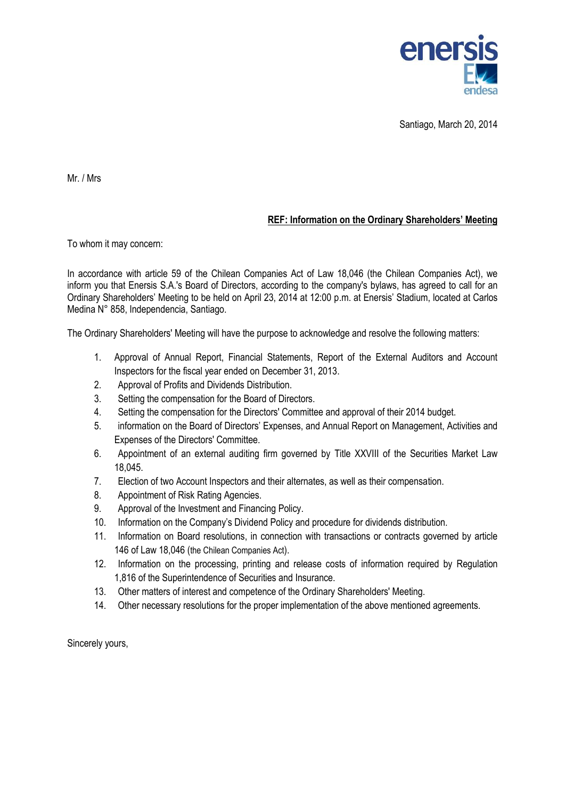

Santiago, March 20, 2014

Mr. / Mrs

## **REF: Information on the Ordinary Shareholders' Meeting**

To whom it may concern:

In accordance with article 59 of the Chilean Companies Act of Law 18,046 (the Chilean Companies Act), we inform you that Enersis S.A.'s Board of Directors, according to the company's bylaws, has agreed to call for an Ordinary Shareholders' Meeting to be held on April 23, 2014 at 12:00 p.m. at Enersis' Stadium, located at Carlos Medina N° 858, Independencia, Santiago.

The Ordinary Shareholders' Meeting will have the purpose to acknowledge and resolve the following matters:

- 1. Approval of Annual Report, Financial Statements, Report of the External Auditors and Account Inspectors for the fiscal year ended on December 31, 2013.
- 2. Approval of Profits and Dividends Distribution.
- 3. Setting the compensation for the Board of Directors.
- 4. Setting the compensation for the Directors' Committee and approval of their 2014 budget.
- 5. information on the Board of Directors' Expenses, and Annual Report on Management, Activities and Expenses of the Directors' Committee.
- 6. Appointment of an external auditing firm governed by Title XXVIII of the Securities Market Law 18,045.
- 7. Election of two Account Inspectors and their alternates, as well as their compensation.
- 8. Appointment of Risk Rating Agencies.
- 9. Approval of the Investment and Financing Policy.
- 10. Information on the Company's Dividend Policy and procedure for dividends distribution.
- 11. Information on Board resolutions, in connection with transactions or contracts governed by article 146 of Law 18,046 (the Chilean Companies Act).
- 12. Information on the processing, printing and release costs of information required by Regulation 1,816 of the Superintendence of Securities and Insurance.
- 13. Other matters of interest and competence of the Ordinary Shareholders' Meeting.
- 14. Other necessary resolutions for the proper implementation of the above mentioned agreements.

Sincerely yours,